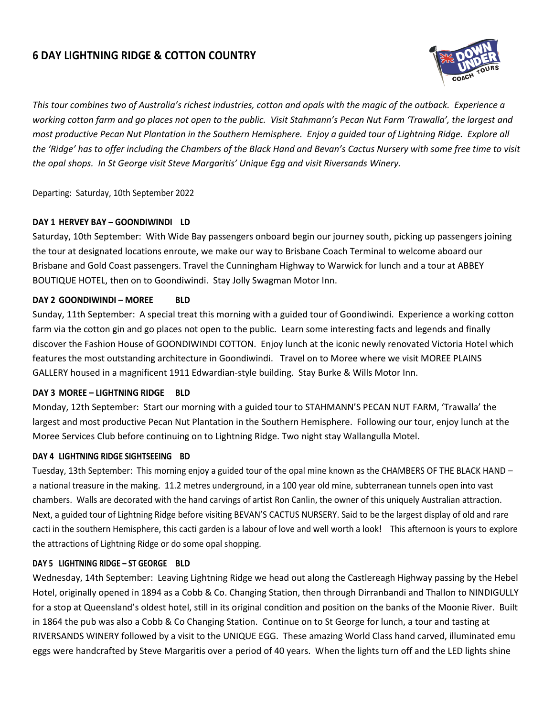# **6 DAY LIGHTNING RIDGE & COTTON COUNTRY**



*This tour combines two of Australia's richest industries, cotton and opals with the magic of the outback. Experience a working cotton farm and go places not open to the public. Visit Stahmann's Pecan Nut Farm 'Trawalla', the largest and most productive Pecan Nut Plantation in the Southern Hemisphere. Enjoy a guided tour of Lightning Ridge. Explore all the 'Ridge' has to offer including the Chambers of the Black Hand and Bevan's Cactus Nursery with some free time to visit the opal shops. In St George visit Steve Margaritis' Unique Egg and visit Riversands Winery.* 

Departing: Saturday, 10th September 2022

# **DAY 1 HERVEY BAY – GOONDIWINDI LD**

Saturday, 10th September: With Wide Bay passengers onboard begin our journey south, picking up passengers joining the tour at designated locations enroute, we make our way to Brisbane Coach Terminal to welcome aboard our Brisbane and Gold Coast passengers. Travel the Cunningham Highway to Warwick for lunch and a tour at ABBEY BOUTIQUE HOTEL, then on to Goondiwindi. Stay Jolly Swagman Motor Inn.

# **DAY 2 GOONDIWINDI – MOREE BLD**

Sunday, 11th September: A special treat this morning with a guided tour of Goondiwindi. Experience a working cotton farm via the cotton gin and go places not open to the public. Learn some interesting facts and legends and finally discover the Fashion House of GOONDIWINDI COTTON. Enjoy lunch at the iconic newly renovated Victoria Hotel which features the most outstanding architecture in Goondiwindi. Travel on to Moree where we visit MOREE PLAINS GALLERY housed in a magnificent 1911 Edwardian-style building. Stay Burke & Wills Motor Inn.

#### **DAY 3 MOREE – LIGHTNING RIDGE BLD**

Monday, 12th September: Start our morning with a guided tour to STAHMANN'S PECAN NUT FARM, 'Trawalla' the largest and most productive Pecan Nut Plantation in the Southern Hemisphere. Following our tour, enjoy lunch at the Moree Services Club before continuing on to Lightning Ridge. Two night stay Wallangulla Motel.

#### **DAY 4 LIGHTNING RIDGE SIGHTSEEING BD**

Tuesday, 13th September: This morning enjoy a guided tour of the opal mine known as the CHAMBERS OF THE BLACK HAND – a national treasure in the making. 11.2 metres underground, in a 100 year old mine, subterranean tunnels open into vast chambers. Walls are decorated with the hand carvings of artist Ron Canlin, the owner of this uniquely Australian attraction. Next, a guided tour of Lightning Ridge before visiting BEVAN'S CACTUS NURSERY. Said to be the largest display of old and rare cacti in the southern Hemisphere, this cacti garden is a labour of love and well worth a look! This afternoon is yours to explore the attractions of Lightning Ridge or do some opal shopping.

# **DAY 5 LIGHTNING RIDGE – ST GEORGE BLD**

Wednesday, 14th September: Leaving Lightning Ridge we head out along the Castlereagh Highway passing by the Hebel Hotel, originally opened in 1894 as a Cobb & Co. Changing Station, then through Dirranbandi and Thallon to NINDIGULLY for a stop at Queensland's oldest hotel, still in its original condition and position on the banks of the Moonie River. Built in 1864 the pub was also a Cobb & Co Changing Station. Continue on to St George for lunch, a tour and tasting at RIVERSANDS WINERY followed by a visit to the UNIQUE EGG. These amazing World Class hand carved, illuminated emu eggs were handcrafted by Steve Margaritis over a period of 40 years. When the lights turn off and the LED lights shine